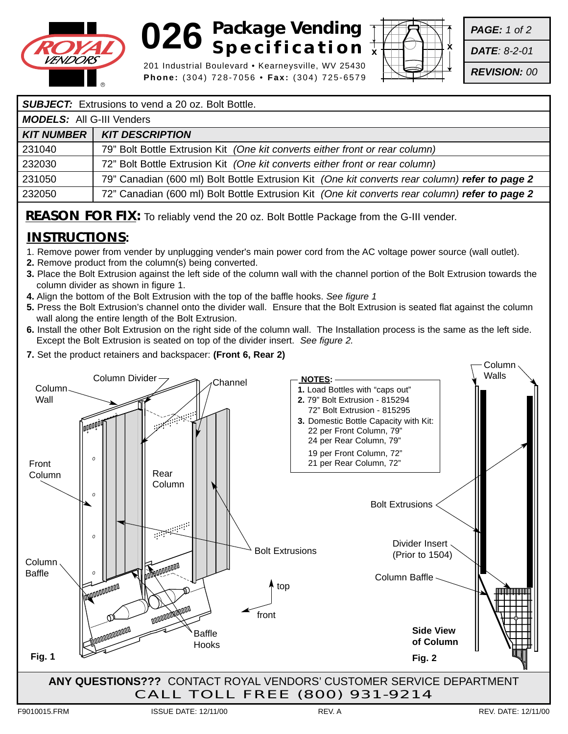

## **026 Backage Vending**<br> **Package Vending Specification**

201 Industrial Boulevard • Kearneysville, WV 25430 **Phone:** (304) 728-7056 • **Fax:** (304) 725-6579



*PAGE: 1 of 2*

*DATE: 8-2-01*

*REVISION: 00*

#### **SUBJECT:** Extrusions to vend a 20 oz. Bolt Bottle.

| <b>MODELS:</b> All G-III Venders |                                                                                                |
|----------------------------------|------------------------------------------------------------------------------------------------|
| <b>KIT NUMBER  </b>              | <b>KIT DESCRIPTION</b>                                                                         |
| 231040                           | 79" Bolt Bottle Extrusion Kit (One kit converts either front or rear column)                   |
| 232030                           | 72" Bolt Bottle Extrusion Kit (One kit converts either front or rear column)                   |
| 231050                           | 79" Canadian (600 ml) Bolt Bottle Extrusion Kit (One kit converts rear column) refer to page 2 |
| 232050                           | 72" Canadian (600 ml) Bolt Bottle Extrusion Kit (One kit converts rear column) refer to page 2 |

**REASON FOR FIX:** To reliably vend the 20 oz. Bolt Bottle Package from the G-III vender.

### **INSTRUCTIONS:**

- 1. Remove power from vender by unplugging vender's main power cord from the AC voltage power source (wall outlet).
- **2.** Remove product from the column(s) being converted.
- **3.** Place the Bolt Extrusion against the left side of the column wall with the channel portion of the Bolt Extrusion towards the column divider as shown in figure 1.
- **4.** Align the bottom of the Bolt Extrusion with the top of the baffle hooks. *See figure 1*
- **5.** Press the Bolt Extrusion's channel onto the divider wall. Ensure that the Bolt Extrusion is seated flat against the column wall along the entire length of the Bolt Extrusion.
- **6.** Install the other Bolt Extrusion on the right side of the column wall. The Installation process is the same as the left side. Except the Bolt Extrusion is seated on top of the divider insert. *See figure 2.*
- **7.** Set the product retainers and backspacer: **(Front 6, Rear 2)**